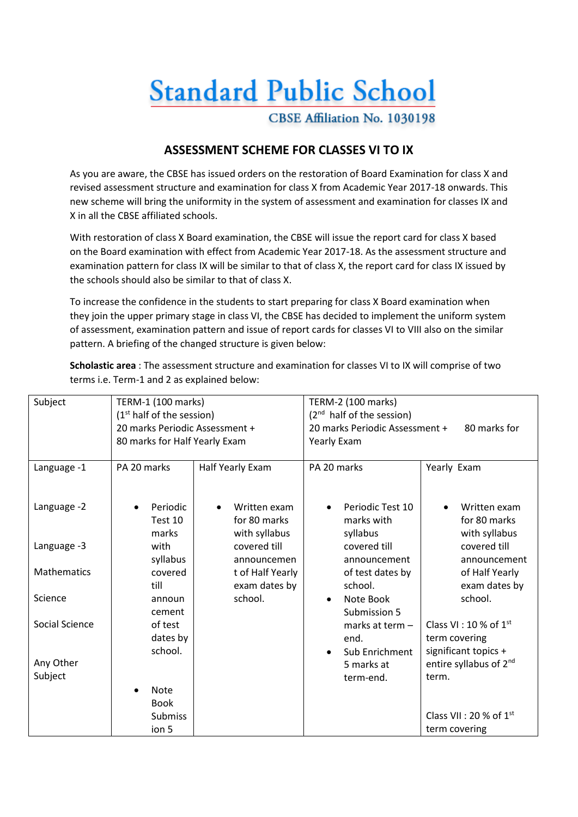## **Standard Public School**

CBSE Affiliation No. 1030198

## **ASSESSMENT SCHEME FOR CLASSES VI TO IX**

As you are aware, the CBSE has issued orders on the restoration of Board Examination for class X and revised assessment structure and examination for class X from Academic Year 2017-18 onwards. This new scheme will bring the uniformity in the system of assessment and examination for classes IX and X in all the CBSE affiliated schools.

With restoration of class X Board examination, the CBSE will issue the report card for class X based on the Board examination with effect from Academic Year 2017-18. As the assessment structure and examination pattern for class IX will be similar to that of class X, the report card for class IX issued by the schools should also be similar to that of class X.

To increase the confidence in the students to start preparing for class X Board examination when they join the upper primary stage in class VI, the CBSE has decided to implement the uniform system of assessment, examination pattern and issue of report cards for classes VI to VIII also on the similar pattern. A briefing of the changed structure is given below:

**Scholastic area** : The assessment structure and examination for classes VI to IX will comprise of two terms i.e. Term-1 and 2 as explained below:

| Subject        | TERM-1 (100 marks)<br>(1 <sup>st</sup> half of the session) |                  | TERM-2 (100 marks)<br>$(2nd$ half of the session) |                                    |  |
|----------------|-------------------------------------------------------------|------------------|---------------------------------------------------|------------------------------------|--|
|                | 20 marks Periodic Assessment +                              |                  | 20 marks Periodic Assessment +<br>80 marks for    |                                    |  |
|                | 80 marks for Half Yearly Exam                               |                  | Yearly Exam                                       |                                    |  |
|                |                                                             |                  |                                                   |                                    |  |
| Language -1    | PA 20 marks                                                 | Half Yearly Exam | PA 20 marks                                       | Yearly Exam                        |  |
|                |                                                             |                  |                                                   |                                    |  |
| Language -2    | Periodic                                                    | Written exam     | Periodic Test 10                                  | Written exam                       |  |
|                | Test 10                                                     | for 80 marks     | marks with                                        | for 80 marks                       |  |
|                | marks                                                       | with syllabus    | syllabus                                          | with syllabus                      |  |
| Language -3    | with                                                        | covered till     | covered till                                      | covered till                       |  |
|                | syllabus                                                    | announcemen      | announcement                                      | announcement                       |  |
| Mathematics    | covered                                                     | t of Half Yearly | of test dates by                                  | of Half Yearly                     |  |
| Science        | till                                                        | exam dates by    | school.                                           | exam dates by                      |  |
|                | announ<br>cement                                            | school.          | Note Book<br>Submission 5                         | school.                            |  |
| Social Science | of test                                                     |                  | marks at term -                                   | Class VI : 10 % of $1st$           |  |
|                | dates by                                                    |                  | end.                                              | term covering                      |  |
|                | school.                                                     |                  | Sub Enrichment                                    | significant topics +               |  |
| Any Other      |                                                             |                  | 5 marks at                                        | entire syllabus of 2 <sup>nd</sup> |  |
| Subject        |                                                             |                  | term-end.                                         | term.                              |  |
|                | <b>Note</b>                                                 |                  |                                                   |                                    |  |
|                | <b>Book</b>                                                 |                  |                                                   |                                    |  |
|                | <b>Submiss</b>                                              |                  |                                                   | Class VII : 20 % of $1st$          |  |
|                | ion 5                                                       |                  |                                                   | term covering                      |  |